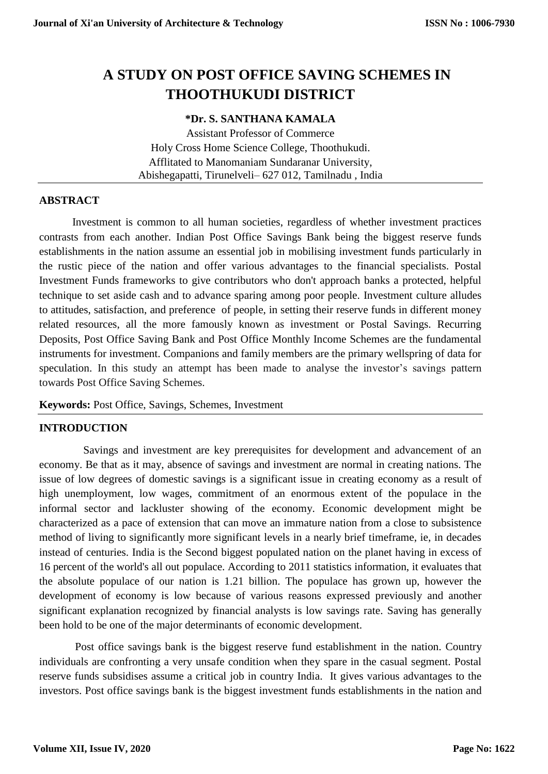# **A STUDY ON POST OFFICE SAVING SCHEMES IN THOOTHUKUDI DISTRICT**

# **\*Dr. S. SANTHANA KAMALA**

Assistant Professor of Commerce Holy Cross Home Science College, Thoothukudi. Afflitated to Manomaniam Sundaranar University, Abishegapatti, Tirunelveli– 627 012, Tamilnadu , India

# **ABSTRACT**

Investment is common to all human societies, regardless of whether investment practices contrasts from each another. Indian Post Office Savings Bank being the biggest reserve funds establishments in the nation assume an essential job in mobilising investment funds particularly in the rustic piece of the nation and offer various advantages to the financial specialists. Postal Investment Funds frameworks to give contributors who don't approach banks a protected, helpful technique to set aside cash and to advance sparing among poor people. Investment culture alludes to attitudes, satisfaction, and preference of people, in setting their reserve funds in different money related resources, all the more famously known as investment or Postal Savings. Recurring Deposits, Post Office Saving Bank and Post Office Monthly Income Schemes are the fundamental instruments for investment. Companions and family members are the primary wellspring of data for speculation. In this study an attempt has been made to analyse the investor's savings pattern towards Post Office Saving Schemes.

**Keywords:** Post Office, Savings, Schemes, Investment

# **INTRODUCTION**

Savings and investment are key prerequisites for development and advancement of an economy. Be that as it may, absence of savings and investment are normal in creating nations. The issue of low degrees of domestic savings is a significant issue in creating economy as a result of high unemployment, low wages, commitment of an enormous extent of the populace in the informal sector and lackluster showing of the economy. Economic development might be characterized as a pace of extension that can move an immature nation from a close to subsistence method of living to significantly more significant levels in a nearly brief timeframe, ie, in decades instead of centuries. India is the Second biggest populated nation on the planet having in excess of 16 percent of the world's all out populace. According to 2011 statistics information, it evaluates that the absolute populace of our nation is 1.21 billion. The populace has grown up, however the development of economy is low because of various reasons expressed previously and another significant explanation recognized by financial analysts is low savings rate. Saving has generally been hold to be one of the major determinants of economic development.

Post office savings bank is the biggest reserve fund establishment in the nation. Country individuals are confronting a very unsafe condition when they spare in the casual segment. Postal reserve funds subsidises assume a critical job in country India. It gives various advantages to the investors. Post office savings bank is the biggest investment funds establishments in the nation and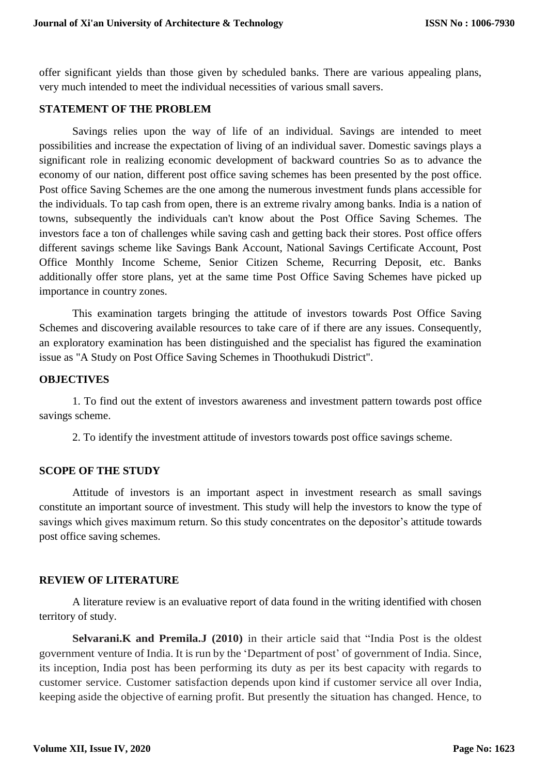offer significant yields than those given by scheduled banks. There are various appealing plans, very much intended to meet the individual necessities of various small savers.

# **STATEMENT OF THE PROBLEM**

Savings relies upon the way of life of an individual. Savings are intended to meet possibilities and increase the expectation of living of an individual saver. Domestic savings plays a significant role in realizing economic development of backward countries So as to advance the economy of our nation, different post office saving schemes has been presented by the post office. Post office Saving Schemes are the one among the numerous investment funds plans accessible for the individuals. To tap cash from open, there is an extreme rivalry among banks. India is a nation of towns, subsequently the individuals can't know about the Post Office Saving Schemes. The investors face a ton of challenges while saving cash and getting back their stores. Post office offers different savings scheme like Savings Bank Account, National Savings Certificate Account, Post Office Monthly Income Scheme, Senior Citizen Scheme, Recurring Deposit, etc. Banks additionally offer store plans, yet at the same time Post Office Saving Schemes have picked up importance in country zones.

This examination targets bringing the attitude of investors towards Post Office Saving Schemes and discovering available resources to take care of if there are any issues. Consequently, an exploratory examination has been distinguished and the specialist has figured the examination issue as "A Study on Post Office Saving Schemes in Thoothukudi District".

# **OBJECTIVES**

1. To find out the extent of investors awareness and investment pattern towards post office savings scheme.

2. To identify the investment attitude of investors towards post office savings scheme.

# **SCOPE OF THE STUDY**

Attitude of investors is an important aspect in investment research as small savings constitute an important source of investment. This study will help the investors to know the type of savings which gives maximum return. So this study concentrates on the depositor's attitude towards post office saving schemes.

# **REVIEW OF LITERATURE**

A literature review is an evaluative report of data found in the writing identified with chosen territory of study.

**Selvarani.K and Premila.J (2010)** in their article said that "India Post is the oldest government venture of India. It is run by the 'Department of post' of government of India. Since, its inception, India post has been performing its duty as per its best capacity with regards to customer service. Customer satisfaction depends upon kind if customer service all over India, keeping aside the objective of earning profit. But presently the situation has changed. Hence, to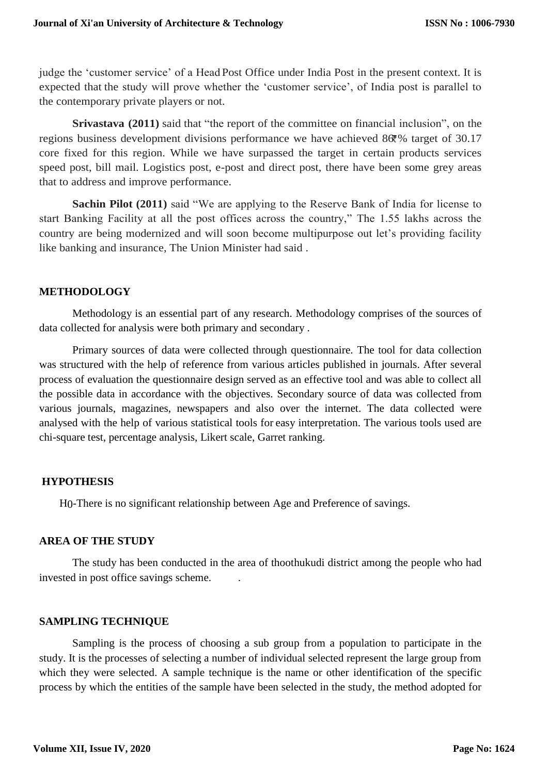judge the 'customer service' of a Head Post Office under India Post in the present context. It is expected that the study will prove whether the 'customer service', of India post is parallel to the contemporary private players or not.

**Srivastava** (2011) said that "the report of the committee on financial inclusion", on the regions business development divisions performance we have achieved  $86\%$  target of 30.17 core fixed for this region. While we have surpassed the target in certain products services speed post, bill mail. Logistics post, e-post and direct post, there have been some grey areas that to address and improve performance.

**Sachin Pilot (2011)** said "We are applying to the Reserve Bank of India for license to start Banking Facility at all the post offices across the country," The 1.55 lakhs across the country are being modernized and will soon become multipurpose out let's providing facility like banking and insurance, The Union Minister had said .

# **METHODOLOGY**

Methodology is an essential part of any research. Methodology comprises of the sources of data collected for analysis were both primary and secondary .

Primary sources of data were collected through questionnaire. The tool for data collection was structured with the help of reference from various articles published in journals. After several process of evaluation the questionnaire design served as an effective tool and was able to collect all the possible data in accordance with the objectives. Secondary source of data was collected from various journals, magazines, newspapers and also over the internet. The data collected were analysed with the help of various statistical tools for easy interpretation. The various tools used are chi-square test, percentage analysis, Likert scale, Garret ranking.

# **HYPOTHESIS**

H0-There is no significant relationship between Age and Preference of savings.

# **AREA OF THE STUDY**

The study has been conducted in the area of thoothukudi district among the people who had invested in post office savings scheme. .

# **SAMPLING TECHNIQUE**

Sampling is the process of choosing a sub group from a population to participate in the study. It is the processes of selecting a number of individual selected represent the large group from which they were selected. A sample technique is the name or other identification of the specific process by which the entities of the sample have been selected in the study, the method adopted for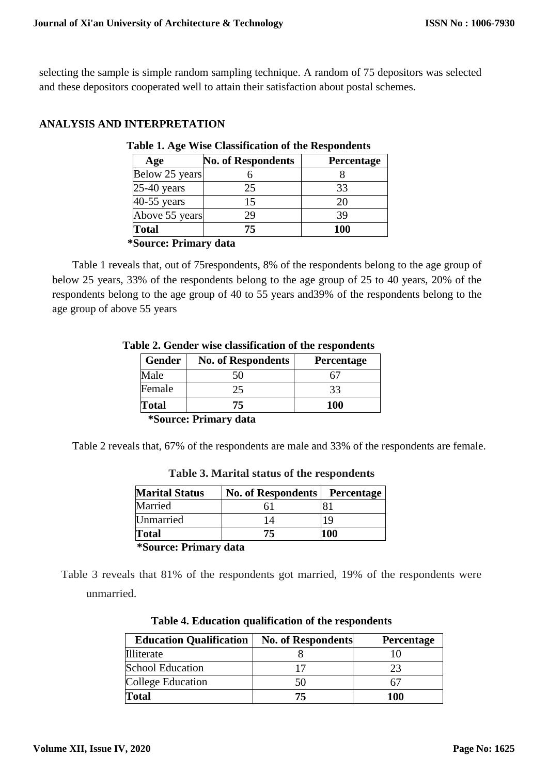selecting the sample is simple random sampling technique. A random of 75 depositors was selected and these depositors cooperated well to attain their satisfaction about postal schemes.

# **ANALYSIS AND INTERPRETATION**

| Age            | <b>No. of Respondents</b> | <b>Percentage</b> |
|----------------|---------------------------|-------------------|
| Below 25 years |                           |                   |
| $25-40$ years  | 25                        | 33                |
| 40-55 years    | 15                        | 20                |
| Above 55 years | 29                        | 39                |
| <b>Total</b>   | 75                        | 100               |

#### **\*Source: Primary data**

Table 1 reveals that, out of 75respondents, 8% of the respondents belong to the age group of below 25 years, 33% of the respondents belong to the age group of 25 to 40 years, 20% of the respondents belong to the age group of 40 to 55 years and39% of the respondents belong to the age group of above 55 years

| <b>No. of Respondents</b> | <b>Percentage</b> |
|---------------------------|-------------------|
|                           |                   |
| 25                        | 33                |
| 75.                       | <b>100</b>        |
|                           |                   |

#### **Table 2. Gender wise classification of the respondents**

**\*Source: Primary data**

Table 2 reveals that, 67% of the respondents are male and 33% of the respondents are female.

| <b>Marital Status</b>               | <b>No. of Respondents</b> | <b>Percentage</b> |
|-------------------------------------|---------------------------|-------------------|
| Married                             |                           |                   |
| Unmarried                           | 14                        | 19                |
| <b>Total</b>                        | 75                        | 100               |
| <i><b>*Source: Primary data</b></i> |                           |                   |

**Table 3. Marital status of the respondents**

Table 3 reveals that 81% of the respondents got married, 19% of the respondents were unmarried.

| <b>Education Qualification</b> | <b>No. of Respondents</b> | <b>Percentage</b> |
|--------------------------------|---------------------------|-------------------|
| Illiterate                     |                           |                   |
| <b>School Education</b>        |                           |                   |
| College Education              | 50                        |                   |
| Total                          | 75                        | 100               |

| Table 4. Education qualification of the respondents |  |  |
|-----------------------------------------------------|--|--|
|-----------------------------------------------------|--|--|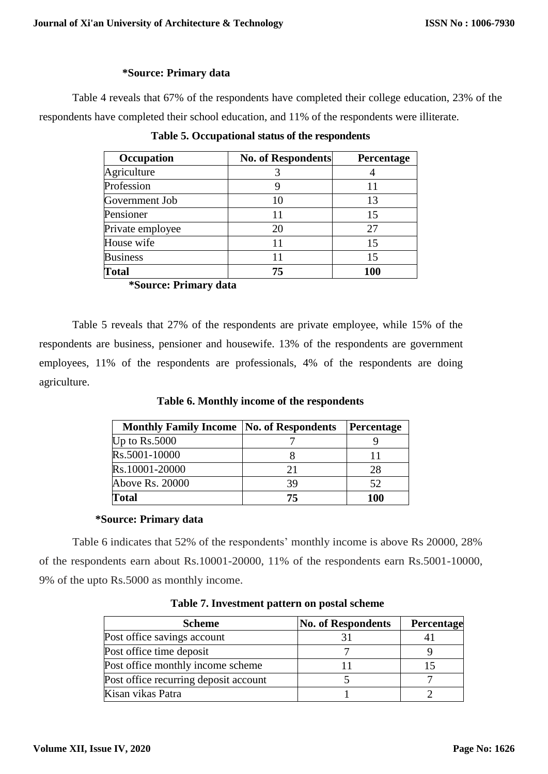### **\*Source: Primary data**

Table 4 reveals that 67% of the respondents have completed their college education, 23% of the respondents have completed their school education, and 11% of the respondents were illiterate.

| Occupation       | <b>No. of Respondents</b> | Percentage |
|------------------|---------------------------|------------|
| Agriculture      |                           |            |
| Profession       |                           |            |
| Government Job   | 10                        | 13         |
| Pensioner        | 11                        | 15         |
| Private employee | 20                        | 27         |
| House wife       |                           | 15         |
| <b>Business</b>  |                           | 15         |
| <b>Total</b>     | 75                        | 100        |

**Table 5. Occupational status of the respondents**

**\*Source: Primary data**

Table 5 reveals that 27% of the respondents are private employee, while 15% of the respondents are business, pensioner and housewife. 13% of the respondents are government employees, 11% of the respondents are professionals, 4% of the respondents are doing agriculture.

**Table 6. Monthly income of the respondents**

| <b>Monthly Family Income   No. of Respondents</b> |    | Percentage |
|---------------------------------------------------|----|------------|
| Up to $Rs.5000$                                   |    |            |
| Rs.5001-10000                                     |    |            |
| Rs.10001-20000                                    | 21 | 28         |
| Above Rs. 20000                                   |    | 52         |
| <b>Total</b>                                      | 75 | 100        |

# **\*Source: Primary data**

Table 6 indicates that 52% of the respondents' monthly income is above Rs 20000, 28% of the respondents earn about Rs.10001-20000, 11% of the respondents earn Rs.5001-10000, 9% of the upto Rs.5000 as monthly income.

| <b>Scheme</b>                         | <b>No. of Respondents</b> | Percentage |
|---------------------------------------|---------------------------|------------|
| Post office savings account           |                           |            |
| Post office time deposit              |                           |            |
| Post office monthly income scheme     |                           |            |
| Post office recurring deposit account |                           |            |
| Kisan vikas Patra                     |                           |            |

**Table 7. Investment pattern on postal scheme**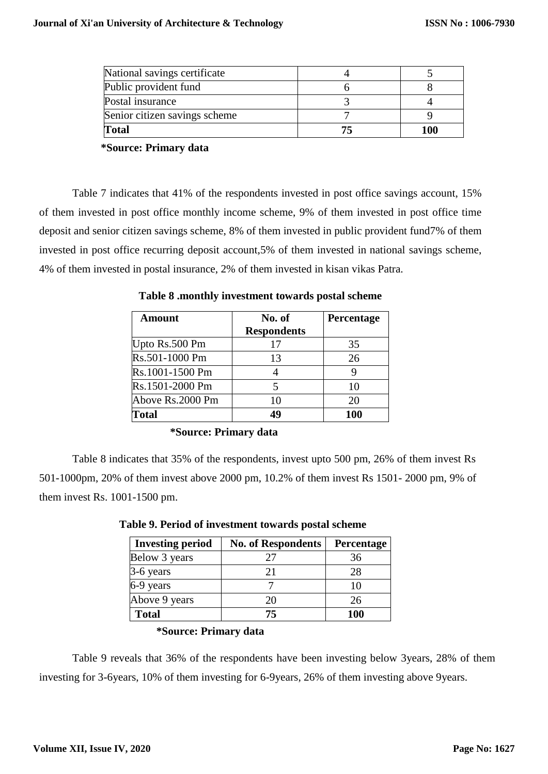| National savings certificate  |     |
|-------------------------------|-----|
| Public provident fund         |     |
| Postal insurance              |     |
| Senior citizen savings scheme |     |
| <b>Total</b>                  | 100 |

**\*Source: Primary data**

Table 7 indicates that 41% of the respondents invested in post office savings account, 15% of them invested in post office monthly income scheme, 9% of them invested in post office time deposit and senior citizen savings scheme, 8% of them invested in public provident fund7% of them invested in post office recurring deposit account,5% of them invested in national savings scheme, 4% of them invested in postal insurance, 2% of them invested in kisan vikas Patra.

**Table 8 .monthly investment towards postal scheme**

| Amount           | No. of             | <b>Percentage</b> |
|------------------|--------------------|-------------------|
|                  | <b>Respondents</b> |                   |
| Upto Rs.500 Pm   | 17                 | 35                |
| Rs.501-1000 Pm   | 13                 | 26                |
| Rs.1001-1500 Pm  |                    |                   |
| Rs.1501-2000 Pm  |                    | 10                |
| Above Rs.2000 Pm | 10                 | 20                |
| <b>Total</b>     | 49                 | 100               |

**\*Source: Primary data**

Table 8 indicates that 35% of the respondents, invest upto 500 pm, 26% of them invest Rs 501-1000pm, 20% of them invest above 2000 pm, 10.2% of them invest Rs 1501- 2000 pm, 9% of them invest Rs. 1001-1500 pm.

| <b>Investing period</b> | <b>No. of Respondents</b> | Percentage |
|-------------------------|---------------------------|------------|
| Below 3 years           | 27                        | 36         |
| 3-6 years               | 21                        | 28         |
| 6-9 years               |                           | 10         |
| Above 9 years           | 20                        | 26         |
| <b>Total</b>            | 75                        | 100        |

 **Table 9. Period of investment towards postal scheme** 

# **\*Source: Primary data**

Table 9 reveals that 36% of the respondents have been investing below 3years, 28% of them investing for 3-6years, 10% of them investing for 6-9years, 26% of them investing above 9years.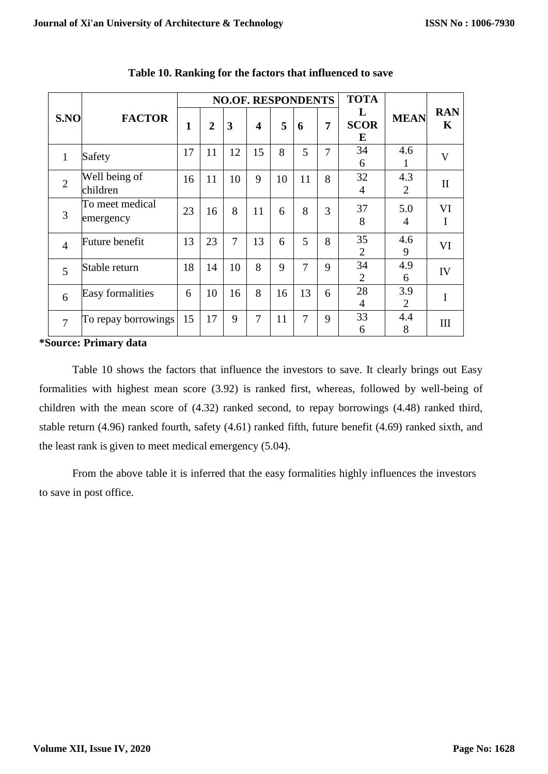|  | S.NO           | <b>FACTOR</b>                | <b>NO.OF. RESPONDENTS</b> |                |                |                         |    |                | <b>TOTA</b>    |                       |                       |                           |
|--|----------------|------------------------------|---------------------------|----------------|----------------|-------------------------|----|----------------|----------------|-----------------------|-----------------------|---------------------------|
|  |                |                              | $\mathbf{1}$              | $\overline{2}$ | 3              | $\overline{\mathbf{4}}$ | 5  | 6              | $\overline{7}$ | L<br><b>SCOR</b><br>E | <b>MEAN</b>           | <b>RAN</b><br>$\mathbf K$ |
|  | $\mathbf{1}$   | Safety                       | 17                        | 11             | 12             | 15                      | 8  | 5              | 7              | 34<br>6               | 4.6<br>1              | V                         |
|  | $\overline{2}$ | Well being of<br>children    | 16                        | 11             | 10             | 9                       | 10 | 11             | 8              | 32<br>$\overline{4}$  | 4.3<br>$\overline{2}$ | $\mathbf{I}$              |
|  | 3              | To meet medical<br>emergency | 23                        | 16             | 8              | 11                      | 6  | 8              | 3              | 37<br>8               | 5.0<br>4              | VI<br>I                   |
|  | $\overline{4}$ | Future benefit               | 13                        | 23             | $\overline{7}$ | 13                      | 6  | 5              | 8              | 35<br>$\overline{2}$  | 4.6<br>9              | VI                        |
|  | 5              | Stable return                | 18                        | 14             | 10             | 8                       | 9  | 7              | 9              | 34<br>2               | 4.9<br>6              | IV                        |
|  | 6              | Easy formalities             | 6                         | 10             | 16             | 8                       | 16 | 13             | 6              | 28<br>4               | 3.9<br>2              | $\mathbf I$               |
|  | $\overline{7}$ | To repay borrowings          | 15                        | 17             | 9              | $\overline{7}$          | 11 | $\overline{7}$ | 9              | 33<br>6               | 4.4<br>8              | III                       |
|  |                | $\sim$ $\sim$                |                           |                |                |                         |    |                |                |                       |                       |                           |

**Table 10. Ranking for the factors that influenced to save**

### **\*Source: Primary data**

Table 10 shows the factors that influence the investors to save. It clearly brings out Easy formalities with highest mean score (3.92) is ranked first, whereas, followed by well-being of children with the mean score of (4.32) ranked second, to repay borrowings (4.48) ranked third, stable return (4.96) ranked fourth, safety (4.61) ranked fifth, future benefit (4.69) ranked sixth, and the least rank is given to meet medical emergency (5.04).

From the above table it is inferred that the easy formalities highly influences the investors to save in post office.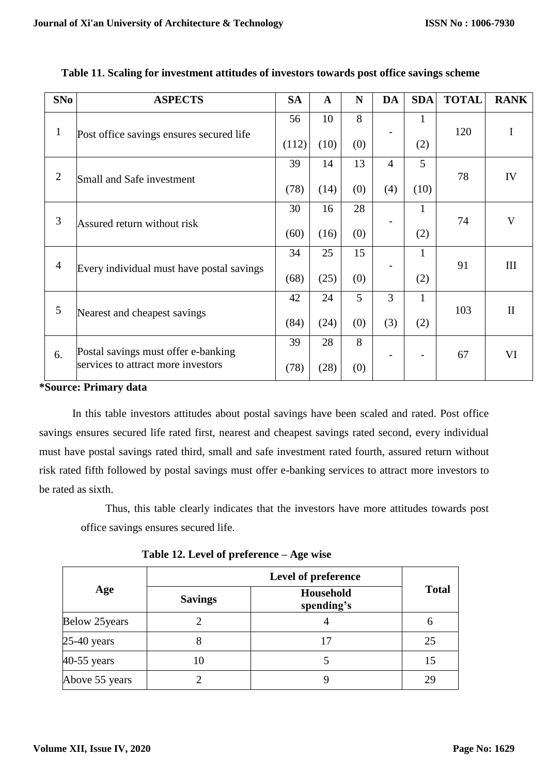| SNo            | <b>ASPECTS</b>                            | <b>SA</b> | $\mathbf{A}$ | N   | DA             | <b>SDA</b>   | <b>TOTAL</b> | <b>RANK</b>  |
|----------------|-------------------------------------------|-----------|--------------|-----|----------------|--------------|--------------|--------------|
| $\mathbf{1}$   | Post office savings ensures secured life  | 56        | 10           | 8   |                | 1            | 120          | I            |
|                |                                           | (112)     | (10)         | (0) |                | (2)          |              |              |
| $\overline{2}$ | Small and Safe investment                 | 39        | 14           | 13  | $\overline{4}$ | 5            | 78           | IV           |
|                |                                           | (78)      | (14)         | (0) | (4)            | (10)         |              |              |
|                | Assured return without risk               | 30        | 16           | 28  |                | $\mathbf{1}$ |              | $\mathbf{V}$ |
| 3              |                                           | (60)      | (16)         | (0) |                | (2)          | 74           |              |
|                | Every individual must have postal savings | 34        | 25           | 15  |                | $\mathbf{1}$ |              |              |
| $\overline{4}$ |                                           | (68)      | (25)         | (0) |                | (2)          | 91           | Ш            |
|                |                                           | 42        | 24           | 5   | 3              | $\mathbf{1}$ |              |              |
| 5              | Nearest and cheapest savings              | (84)      | (24)         | (0) | (3)            | (2)          | 103          | $\mathbf{I}$ |
|                | Postal savings must offer e-banking       |           | 28           | 8   |                |              |              |              |
| 6.             | services to attract more investors        | (78)      | (28)         | (0) |                |              | 67           | VI           |

# **Table 11. Scaling for investment attitudes of investors towards post office savings scheme**

#### **\*Source: Primary data**

In this table investors attitudes about postal savings have been scaled and rated. Post office savings ensures secured life rated first, nearest and cheapest savings rated second, every individual must have postal savings rated third, small and safe investment rated fourth, assured return without risk rated fifth followed by postal savings must offer e-banking services to attract more investors to be rated as sixth.

Thus, this table clearly indicates that the investors have more attitudes towards post office savings ensures secured life.

|  |  |  |  | Table 12. Level of preference – Age wise |  |
|--|--|--|--|------------------------------------------|--|
|--|--|--|--|------------------------------------------|--|

| Age            | <b>Savings</b> | Household<br>spending's | <b>Total</b> |  |
|----------------|----------------|-------------------------|--------------|--|
| Below 25 years |                |                         | O            |  |
| $25-40$ years  | δ              | 17                      | 25           |  |
| 40-55 years    | l ()           |                         | 15           |  |
| Above 55 years |                |                         | 29           |  |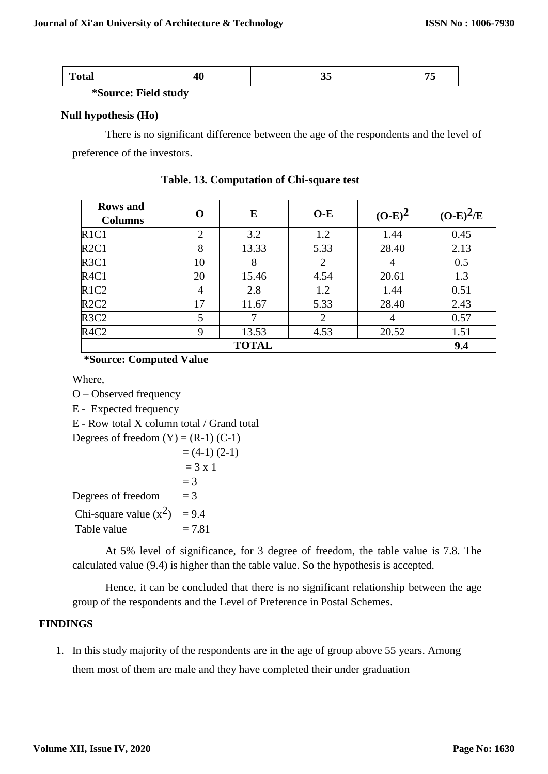**\*Source: Field study**

# **Null hypothesis (Ho)**

There is no significant difference between the age of the respondents and the level of preference of the investors.

| <b>Rows</b> and<br><b>Columns</b> | O              | E     | $O-E$          | $(O-E)^2$ | $(O-E)^2/E$ |
|-----------------------------------|----------------|-------|----------------|-----------|-------------|
| R1C1                              | $\overline{2}$ | 3.2   | 1.2            | 1.44      | 0.45        |
| R2C1                              | 8              | 13.33 | 5.33           | 28.40     | 2.13        |
| R <sub>3</sub> C <sub>1</sub>     | 10             | 8     | $\overline{2}$ | 4         | 0.5         |
| R <sub>4C1</sub>                  | 20             | 15.46 | 4.54           | 20.61     | 1.3         |
| R <sub>1</sub> C <sub>2</sub>     | 4              | 2.8   | 1.2            | 1.44      | 0.51        |
| R2C2                              | 17             | 11.67 | 5.33           | 28.40     | 2.43        |
| R <sub>3</sub> C <sub>2</sub>     | 5              |       | $\overline{2}$ | 4         | 0.57        |
| R <sub>4</sub> C <sub>2</sub>     | 9              | 13.53 | 4.53           | 20.52     | 1.51        |
|                                   | 9.4            |       |                |           |             |

**Table. 13. Computation of Chi-square test**

# **\*Source: Computed Value**

Where,

O – Observed frequency

E - Expected frequency

E - Row total X column total / Grand total

Degrees of freedom  $(Y) = (R-1) (C-1)$ 

$$
= (4-1) (2-1)
$$
  
\n
$$
= 3 \times 1
$$
  
\n
$$
= 3
$$
  
\nDegrees of freedom 
$$
= 3
$$
  
\nChi-square value (x<sup>2</sup>) 
$$
= 9.4
$$
  
\nTable value 
$$
= 7.81
$$

At 5% level of significance, for 3 degree of freedom, the table value is 7.8. The calculated value (9.4) is higher than the table value. So the hypothesis is accepted.

Hence, it can be concluded that there is no significant relationship between the age group of the respondents and the Level of Preference in Postal Schemes.

# **FINDINGS**

1. In this study majority of the respondents are in the age of group above 55 years. Among them most of them are male and they have completed their under graduation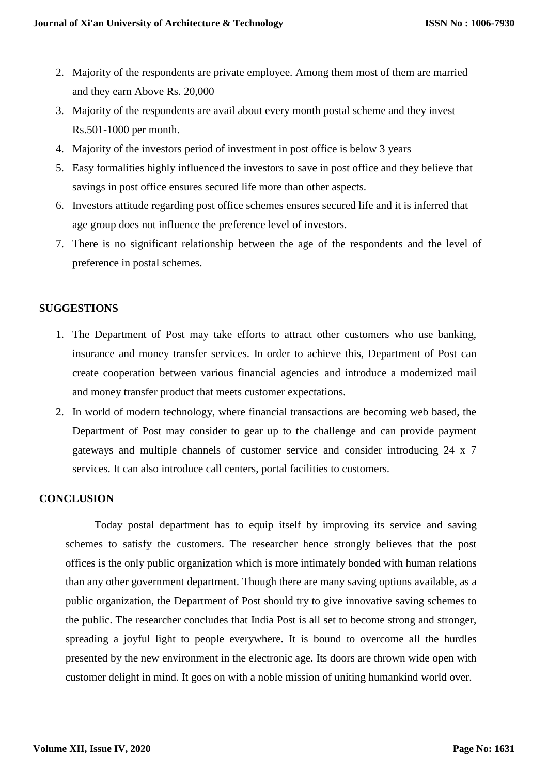- 2. Majority of the respondents are private employee. Among them most of them are married and they earn Above Rs. 20,000
- 3. Majority of the respondents are avail about every month postal scheme and they invest Rs.501-1000 per month.
- 4. Majority of the investors period of investment in post office is below 3 years
- 5. Easy formalities highly influenced the investors to save in post office and they believe that savings in post office ensures secured life more than other aspects.
- 6. Investors attitude regarding post office schemes ensures secured life and it is inferred that age group does not influence the preference level of investors.
- 7. There is no significant relationship between the age of the respondents and the level of preference in postal schemes.

# **SUGGESTIONS**

- 1. The Department of Post may take efforts to attract other customers who use banking, insurance and money transfer services. In order to achieve this, Department of Post can create cooperation between various financial agencies and introduce a modernized mail and money transfer product that meets customer expectations.
- 2. In world of modern technology, where financial transactions are becoming web based, the Department of Post may consider to gear up to the challenge and can provide payment gateways and multiple channels of customer service and consider introducing 24 x 7 services. It can also introduce call centers, portal facilities to customers.

# **CONCLUSION**

Today postal department has to equip itself by improving its service and saving schemes to satisfy the customers. The researcher hence strongly believes that the post offices is the only public organization which is more intimately bonded with human relations than any other government department. Though there are many saving options available, as a public organization, the Department of Post should try to give innovative saving schemes to the public. The researcher concludes that India Post is all set to become strong and stronger, spreading a joyful light to people everywhere. It is bound to overcome all the hurdles presented by the new environment in the electronic age. Its doors are thrown wide open with customer delight in mind. It goes on with a noble mission of uniting humankind world over.